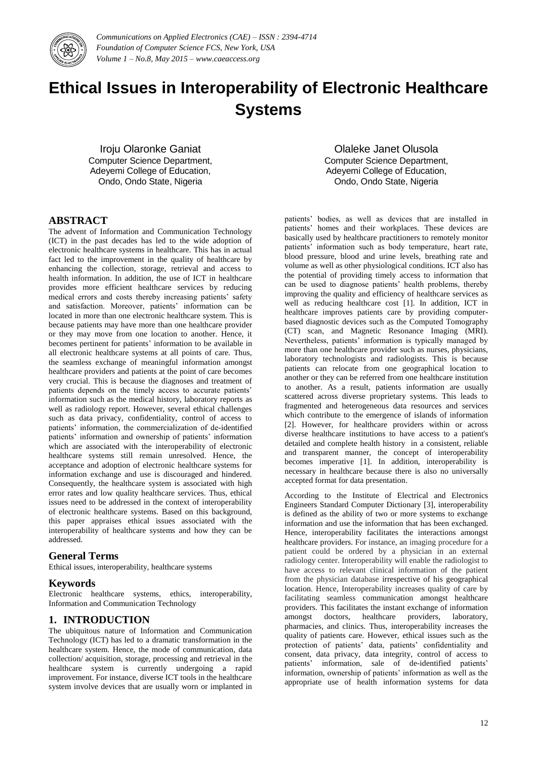

# **Ethical Issues in Interoperability of Electronic Healthcare Systems**

Iroju Olaronke Ganiat Computer Science Department, Adeyemi College of Education, Ondo, Ondo State, Nigeria

Olaleke Janet Olusola Computer Science Department, Adeyemi College of Education, Ondo, Ondo State, Nigeria

## **ABSTRACT**

The advent of Information and Communication Technology (ICT) in the past decades has led to the wide adoption of electronic healthcare systems in healthcare. This has in actual fact led to the improvement in the quality of healthcare by enhancing the collection, storage, retrieval and access to health information. In addition, the use of ICT in healthcare provides more efficient healthcare services by reducing medical errors and costs thereby increasing patients' safety and satisfaction. Moreover, patients' information can be located in more than one electronic healthcare system. This is because patients may have more than one healthcare provider or they may move from one location to another. Hence, it becomes pertinent for patients' information to be available in all electronic healthcare systems at all points of care. Thus, the seamless exchange of meaningful information amongst healthcare providers and patients at the point of care becomes very crucial. This is because the diagnoses and treatment of patients depends on the timely access to accurate patients' information such as the medical history, laboratory reports as well as radiology report. However, several ethical challenges such as data privacy, confidentiality, control of access to patients' information, the commercialization of de-identified patients' information and ownership of patients' information which are associated with the interoperability of electronic healthcare systems still remain unresolved. Hence, the acceptance and adoption of electronic healthcare systems for information exchange and use is discouraged and hindered. Consequently, the healthcare system is associated with high error rates and low quality healthcare services. Thus, ethical issues need to be addressed in the context of interoperability of electronic healthcare systems. Based on this background, this paper appraises ethical issues associated with the interoperability of healthcare systems and how they can be addressed.

#### **General Terms**

Ethical issues, interoperability, healthcare systems

#### **Keywords**

Electronic healthcare systems, ethics, interoperability, Information and Communication Technology

#### **1. INTRODUCTION**

The ubiquitous nature of Information and Communication Technology (ICT) has led to a dramatic transformation in the healthcare system. Hence, the mode of communication, data collection/ acquisition, storage, processing and retrieval in the healthcare system is currently undergoing a rapid improvement. For instance, diverse ICT tools in the healthcare system involve devices that are usually worn or implanted in

patients' bodies, as well as devices that are installed in patients' homes and their workplaces. These devices are basically used by healthcare practitioners to remotely monitor patients' information such as body temperature, heart rate, blood pressure, blood and urine levels, breathing rate and volume as well as other physiological conditions. ICT also has the potential of providing timely access to information that can be used to diagnose patients' health problems, thereby improving the quality and efficiency of healthcare services as well as reducing healthcare cost [1]. In addition, ICT in healthcare improves patients care by providing computerbased diagnostic devices such as the Computed Tomography (CT) scan, and Magnetic Resonance Imaging (MRI). Nevertheless, patients' information is typically managed by more than one healthcare provider such as nurses, physicians, laboratory technologists and radiologists. This is because patients can relocate from one geographical location to another or they can be referred from one healthcare institution to another. As a result, patients information are usually scattered across diverse proprietary systems. This leads to fragmented and heterogeneous data resources and services which contribute to the emergence of islands of information [2]. However, for healthcare providers within or across diverse healthcare institutions to have access to a patient's detailed and complete health history in a consistent, reliable and transparent manner, the concept of interoperability becomes imperative [1]. In addition, interoperability is necessary in healthcare because there is also no universally accepted format for data presentation.

According to the Institute of Electrical and Electronics Engineers Standard Computer Dictionary [3], interoperability is defined as the ability of two or more systems to exchange information and use the information that has been exchanged. Hence, interoperability facilitates the interactions amongst healthcare providers. For instance, an imaging procedure for a patient could be ordered by a physician in an external radiology center. Interoperability will enable the radiologist to have access to relevant clinical information of the patient from the physician database irrespective of his geographical location. Hence, Interoperability increases quality of care by facilitating seamless communication amongst healthcare providers. This facilitates the instant exchange of information amongst doctors, healthcare providers, laboratory, pharmacies, and clinics. Thus, interoperability increases the quality of patients care. However, ethical issues such as the protection of patients' data, patients' confidentiality and consent, data privacy, data integrity, control of access to patients' information, sale of de-identified patients' information, ownership of patients' information as well as the appropriate use of health information systems for data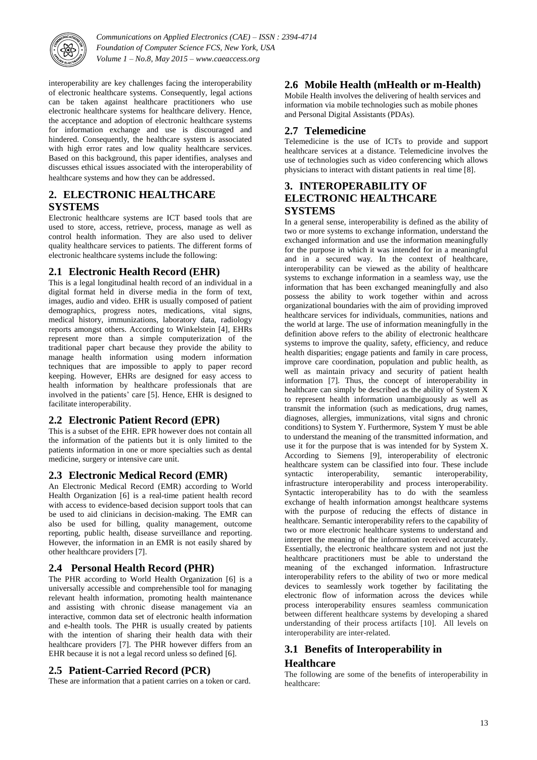

interoperability are key challenges facing the interoperability of electronic healthcare systems. Consequently, legal actions can be taken against healthcare practitioners who use electronic healthcare systems for healthcare delivery. Hence, the acceptance and adoption of electronic healthcare systems for information exchange and use is discouraged and hindered. Consequently, the healthcare system is associated with high error rates and low quality healthcare services. Based on this background, this paper identifies, analyses and discusses ethical issues associated with the interoperability of healthcare systems and how they can be addressed.

## **2. ELECTRONIC HEALTHCARE SYSTEMS**

Electronic healthcare systems are ICT based tools that are used to store, access, retrieve, process, manage as well as control health information. They are also used to deliver quality healthcare services to patients. The different forms of electronic healthcare systems include the following:

## **2.1 Electronic Health Record (EHR)**

This is a legal longitudinal health record of an individual in a digital format held in diverse media in the form of text, images, audio and video. EHR is usually composed of patient demographics, progress notes, medications, vital signs, medical history, immunizations, laboratory data, radiology reports amongst others. According to Winkelstein [4], EHRs represent more than a simple computerization of the traditional paper chart because they provide the ability to manage health information using modern information techniques that are impossible to apply to paper record keeping. However, EHRs are designed for easy access to health information by healthcare professionals that are involved in the patients' care [5]. Hence, EHR is designed to facilitate interoperability.

## **2.2 Electronic Patient Record (EPR)**

This is a subset of the EHR. EPR however does not contain all the information of the patients but it is only limited to the patients information in one or more specialties such as dental medicine, surgery or intensive care unit.

#### **2.3 Electronic Medical Record (EMR)**

An Electronic Medical Record (EMR) according to World Health Organization [6] is a real-time patient health record with access to evidence-based decision support tools that can be used to aid clinicians in decision-making. The EMR can also be used for billing, quality management, outcome reporting, public health, disease surveillance and reporting. However, the information in an EMR is not easily shared by other healthcare providers [7].

#### **2.4 Personal Health Record (PHR)**

The PHR according to World Health Organization [6] is a universally accessible and comprehensible tool for managing relevant health information, promoting health maintenance and assisting with chronic disease management via an interactive, common data set of electronic health information and e-health tools. The PHR is usually created by patients with the intention of sharing their health data with their healthcare providers [7]. The PHR however differs from an EHR because it is not a legal record unless so defined [6].

#### **2.5 Patient-Carried Record (PCR)**

These are information that a patient carries on a token or card.

## **2.6 Mobile Health (mHealth or m-Health)**

Mobile Health involves the delivering of health services and information via mobile technologies such as mobile phones and Personal Digital Assistants (PDAs).

## **2.7 Telemedicine**

Telemedicine is the use of ICTs to provide and support healthcare services at a distance. Telemedicine involves the use of technologies such as video conferencing which allows physicians to interact with distant patients in real time [8].

## **3. INTEROPERABILITY OF ELECTRONIC HEALTHCARE SYSTEMS**

In a general sense, interoperability is defined as the ability of two or more systems to exchange information, understand the exchanged information and use the information meaningfully for the purpose in which it was intended for in a meaningful and in a secured way. In the context of healthcare, interoperability can be viewed as the ability of healthcare systems to exchange information in a seamless way, use the information that has been exchanged meaningfully and also possess the ability to work together within and across organizational boundaries with the aim of providing improved healthcare services for individuals, communities, nations and the world at large. The use of information meaningfully in the definition above refers to the ability of electronic healthcare systems to improve the quality, safety, efficiency, and reduce health disparities; engage patients and family in care process, improve care coordination, population and public health, as well as maintain privacy and security of patient health information [7]. Thus, the concept of interoperability in healthcare can simply be described as the ability of System X to represent health information unambiguously as well as transmit the information (such as medications, drug names, diagnoses, allergies, immunizations, vital signs and chronic conditions) to System Y. Furthermore, System Y must be able to understand the meaning of the transmitted information, and use it for the purpose that is was intended for by System X. According to Siemens [9], interoperability of electronic healthcare system can be classified into four. These include syntactic interoperability, semantic interoperability, infrastructure interoperability and process interoperability. Syntactic interoperability has to do with the seamless exchange of health information amongst healthcare systems with the purpose of reducing the effects of distance in healthcare. Semantic interoperability refers to the capability of two or more electronic healthcare systems to understand and interpret the meaning of the information received accurately. Essentially, the electronic healthcare system and not just the healthcare practitioners must be able to understand the meaning of the exchanged information. Infrastructure interoperability refers to the ability of two or more medical devices to seamlessly work together by facilitating the electronic flow of information across the devices while process interoperability ensures seamless communication between different healthcare systems by developing a shared understanding of their process artifacts [10]. All levels on interoperability are inter-related.

# **3.1 Benefits of Interoperability in**

#### **Healthcare**

The following are some of the benefits of interoperability in healthcare: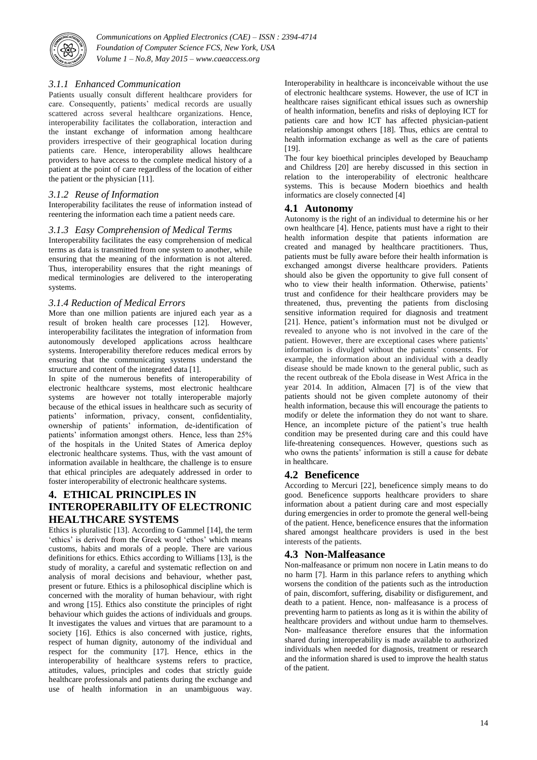

#### *3.1.1 Enhanced Communication*

Patients usually consult different healthcare providers for care. Consequently, patients' medical records are usually scattered across several healthcare organizations. Hence, interoperability facilitates the collaboration, interaction and the instant exchange of information among healthcare providers irrespective of their geographical location during patients care. Hence, interoperability allows healthcare providers to have access to the complete medical history of a patient at the point of care regardless of the location of either the patient or the physician [11].

#### *3.1.2 Reuse of Information*

Interoperability facilitates the reuse of information instead of reentering the information each time a patient needs care.

#### *3.1.3 Easy Comprehension of Medical Terms*

Interoperability facilitates the easy comprehension of medical terms as data is transmitted from one system to another, while ensuring that the meaning of the information is not altered. Thus, interoperability ensures that the right meanings of medical terminologies are delivered to the interoperating systems.

#### *3.1.4 Reduction of Medical Errors*

More than one million patients are injured each year as a result of broken health care processes [12]. However, interoperability facilitates the integration of information from autonomously developed applications across healthcare systems. Interoperability therefore reduces medical errors by ensuring that the communicating systems understand the structure and content of the integrated data [1].

In spite of the numerous benefits of interoperability of electronic healthcare systems, most electronic healthcare systems are however not totally interoperable majorly because of the ethical issues in healthcare such as security of patients' information, privacy, consent, confidentiality, ownership of patients' information, de-identification of patients' information amongst others. Hence, less than 25% of the hospitals in the United States of America deploy electronic healthcare systems. Thus, with the vast amount of information available in healthcare, the challenge is to ensure that ethical principles are adequately addressed in order to foster interoperability of electronic healthcare systems.

## **4. ETHICAL PRINCIPLES IN INTEROPERABILITY OF ELECTRONIC HEALTHCARE SYSTEMS**

Ethics is pluralistic [13]. According to Gammel [14], the term 'ethics' is derived from the Greek word 'ethos' which means customs, habits and morals of a people. There are various definitions for ethics. Ethics according to Williams [13], is the study of morality, a careful and systematic reflection on and analysis of moral decisions and behaviour, whether past, present or future. Ethics is a philosophical discipline which is concerned with the morality of human behaviour, with right and wrong [15]. Ethics also constitute the principles of right behaviour which guides the actions of individuals and groups. It investigates the values and virtues that are paramount to a society [16]. Ethics is also concerned with justice, rights, respect of human dignity, autonomy of the individual and respect for the community [17]. Hence, ethics in the interoperability of healthcare systems refers to practice, attitudes, values, principles and codes that strictly guide healthcare professionals and patients during the exchange and use of health information in an unambiguous way.

Interoperability in healthcare is inconceivable without the use of electronic healthcare systems. However, the use of ICT in healthcare raises significant ethical issues such as ownership of health information, benefits and risks of deploying ICT for patients care and how ICT has affected physician-patient relationship amongst others [18]. Thus, ethics are central to health information exchange as well as the care of patients [19].

The four key bioethical principles developed by Beauchamp and Childress [20] are hereby discussed in this section in relation to the interoperability of electronic healthcare systems. This is because Modern bioethics and health informatics are closely connected [4]

#### **4.1 Autonomy**

Autonomy is the right of an individual to determine his or her own healthcare [4]. Hence, patients must have a right to their health information despite that patients information are created and managed by healthcare practitioners. Thus, patients must be fully aware before their health information is exchanged amongst diverse healthcare providers. Patients should also be given the opportunity to give full consent of who to view their health information. Otherwise, patients' trust and confidence for their healthcare providers may be threatened, thus, preventing the patients from disclosing sensitive information required for diagnosis and treatment [21]. Hence, patient's information must not be divulged or revealed to anyone who is not involved in the care of the patient. However, there are exceptional cases where patients' information is divulged without the patients' consents. For example, the information about an individual with a deadly disease should be made known to the general public, such as the recent outbreak of the Ebola disease in West Africa in the year 2014. In addition, Almacen [7] is of the view that patients should not be given complete autonomy of their health information, because this will encourage the patients to modify or delete the information they do not want to share. Hence, an incomplete picture of the patient's true health condition may be presented during care and this could have life-threatening consequences. However, questions such as who owns the patients' information is still a cause for debate in healthcare.

#### **4.2 Beneficence**

According to Mercuri [22], beneficence simply means to do good. Beneficence supports healthcare providers to share information about a patient during care and most especially during emergencies in order to promote the general well-being of the patient. Hence, beneficence ensures that the information shared amongst healthcare providers is used in the best interests of the patients.

#### **4.3 Non-Malfeasance**

Non-malfeasance or primum non nocere in Latin means to do no harm [7]. Harm in this parlance refers to anything which worsens the condition of the patients such as the introduction of pain, discomfort, suffering, disability or disfigurement, and death to a patient. Hence, non- malfeasance is a process of preventing harm to patients as long as it is within the ability of healthcare providers and without undue harm to themselves. Non- malfeasance therefore ensures that the information shared during interoperability is made available to authorized individuals when needed for diagnosis, treatment or research and the information shared is used to improve the health status of the patient.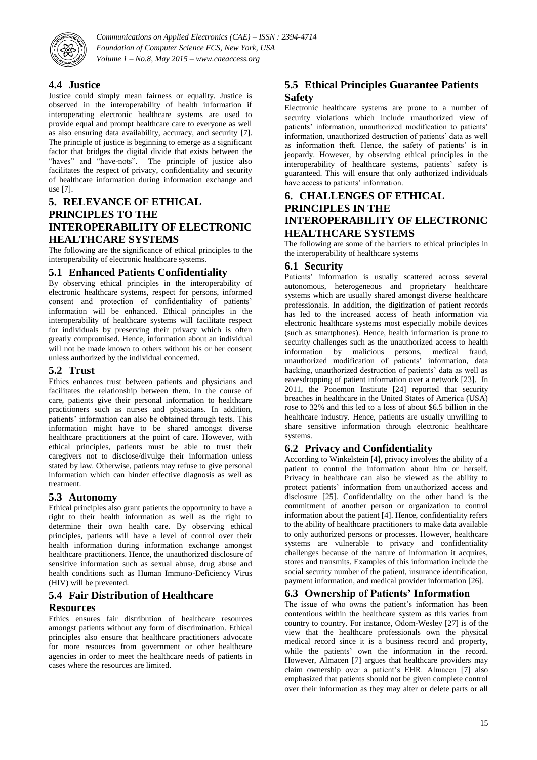

## **4.4 Justice**

Justice could simply mean fairness or equality. Justice is observed in the interoperability of health information if interoperating electronic healthcare systems are used to provide equal and prompt healthcare care to everyone as well as also ensuring data availability, accuracy, and security [7]. The principle of justice is beginning to emerge as a significant factor that bridges the digital divide that exists between the "haves" and "have-nots". The principle of justice also facilitates the respect of privacy, confidentiality and security of healthcare information during information exchange and use [7].

## **5. RELEVANCE OF ETHICAL PRINCIPLES TO THE INTEROPERABILITY OF ELECTRONIC HEALTHCARE SYSTEMS**

The following are the significance of ethical principles to the interoperability of electronic healthcare systems.

#### **5.1 Enhanced Patients Confidentiality**

By observing ethical principles in the interoperability of electronic healthcare systems, respect for persons, informed consent and protection of confidentiality of patients' information will be enhanced. Ethical principles in the interoperability of healthcare systems will facilitate respect for individuals by preserving their privacy which is often greatly compromised. Hence, information about an individual will not be made known to others without his or her consent unless authorized by the individual concerned.

#### **5.2 Trust**

Ethics enhances trust between patients and physicians and facilitates the relationship between them. In the course of care, patients give their personal information to healthcare practitioners such as nurses and physicians. In addition, patients' information can also be obtained through tests. This information might have to be shared amongst diverse healthcare practitioners at the point of care. However, with ethical principles, patients must be able to trust their caregivers not to disclose/divulge their information unless stated by law. Otherwise, patients may refuse to give personal information which can hinder effective diagnosis as well as treatment.

#### **5.3 Autonomy**

Ethical principles also grant patients the opportunity to have a right to their health information as well as the right to determine their own health care. By observing ethical principles, patients will have a level of control over their health information during information exchange amongst healthcare practitioners. Hence, the unauthorized disclosure of sensitive information such as sexual abuse, drug abuse and health conditions such as Human Immuno-Deficiency Virus (HIV) will be prevented.

## **5.4 Fair Distribution of Healthcare**

#### **Resources**

Ethics ensures fair distribution of healthcare resources amongst patients without any form of discrimination. Ethical principles also ensure that healthcare practitioners advocate for more resources from government or other healthcare agencies in order to meet the healthcare needs of patients in cases where the resources are limited.

## **5.5 Ethical Principles Guarantee Patients Safety**

Electronic healthcare systems are prone to a number of security violations which include unauthorized view of patients' information, unauthorized modification to patients' information, unauthorized destruction of patients' data as well as information theft. Hence, the safety of patients' is in jeopardy. However, by observing ethical principles in the interoperability of healthcare systems, patients' safety is guaranteed. This will ensure that only authorized individuals have access to patients' information.

## **6. CHALLENGES OF ETHICAL PRINCIPLES IN THE INTEROPERABILITY OF ELECTRONIC HEALTHCARE SYSTEMS**

The following are some of the barriers to ethical principles in the interoperability of healthcare systems

#### **6.1 Security**

Patients' information is usually scattered across several autonomous, heterogeneous and proprietary healthcare systems which are usually shared amongst diverse healthcare professionals. In addition, the digitization of patient records has led to the increased access of heath information via electronic healthcare systems most especially mobile devices (such as smartphones). Hence, health information is prone to security challenges such as the unauthorized access to health information by malicious persons, medical fraud, unauthorized modification of patients' information, data hacking, unauthorized destruction of patients' data as well as eavesdropping of patient information over a network [23]. In 2011, the Ponemon Institute [24] reported that security breaches in healthcare in the United States of America (USA) rose to 32% and this led to a loss of about \$6.5 billion in the healthcare industry. Hence, patients are usually unwilling to share sensitive information through electronic healthcare systems.

## **6.2 Privacy and Confidentiality**

According to Winkelstein [4], privacy involves the ability of a patient to control the information about him or herself. Privacy in healthcare can also be viewed as the ability to protect patients' information from unauthorized access and disclosure [25]. Confidentiality on the other hand is the commitment of another person or organization to control information about the patient [4]. Hence, confidentiality refers to the ability of healthcare practitioners to make data available to only authorized persons or processes. However, healthcare systems are vulnerable to privacy and confidentiality challenges because of the nature of information it acquires, stores and transmits. Examples of this information include the social security number of the patient, insurance identification, payment information, and medical provider information [26].

## **6.3 Ownership of Patients' Information**

The issue of who owns the patient's information has been contentious within the healthcare system as this varies from country to country. For instance, Odom-Wesley [27] is of the view that the healthcare professionals own the physical medical record since it is a business record and property, while the patients' own the information in the record. However, Almacen [7] argues that healthcare providers may claim ownership over a patient's EHR. Almacen [7] also emphasized that patients should not be given complete control over their information as they may alter or delete parts or all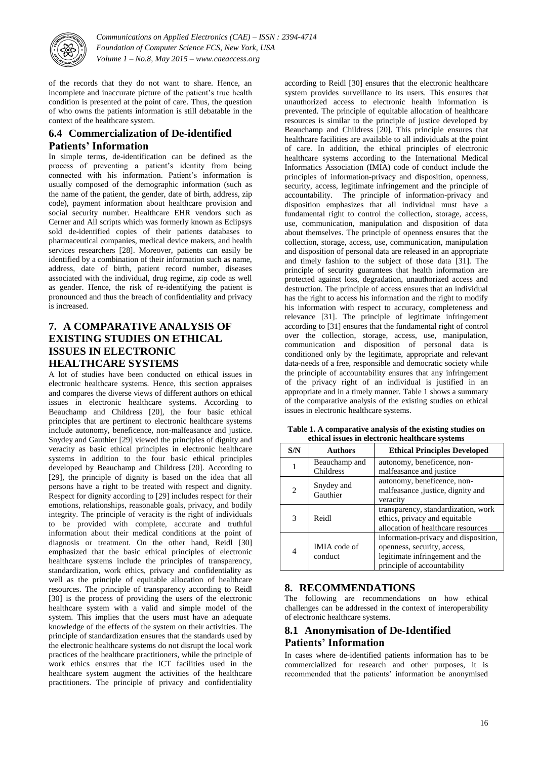

of the records that they do not want to share. Hence, an incomplete and inaccurate picture of the patient's true health condition is presented at the point of care. Thus, the question of who owns the patients information is still debatable in the context of the healthcare system.

## **6.4 Commercialization of De-identified Patients' Information**

In simple terms, de-identification can be defined as the process of preventing a patient's identity from being connected with his information. Patient's information is usually composed of the demographic information (such as the name of the patient, the gender, date of birth, address, zip code), payment information about healthcare provision and social security number. Healthcare EHR vendors such as Cerner and All scripts which was formerly known as Eclipsys sold de-identified copies of their patients databases to pharmaceutical companies, medical device makers, and health services researchers [28]. Moreover, patients can easily be identified by a combination of their information such as name, address, date of birth, patient record number, diseases associated with the individual, drug regime, zip code as well as gender. Hence, the risk of re-identifying the patient is pronounced and thus the breach of confidentiality and privacy is increased.

## **7. A COMPARATIVE ANALYSIS OF EXISTING STUDIES ON ETHICAL ISSUES IN ELECTRONIC HEALTHCARE SYSTEMS**

A lot of studies have been conducted on ethical issues in electronic healthcare systems. Hence, this section appraises and compares the diverse views of different authors on ethical issues in electronic healthcare systems. According to Beauchamp and Childress [20], the four basic ethical principles that are pertinent to electronic healthcare systems include autonomy, beneficence, non-malfeasance and justice. Snydey and Gauthier [29] viewed the principles of dignity and veracity as basic ethical principles in electronic healthcare systems in addition to the four basic ethical principles developed by Beauchamp and Childress [20]. According to [29], the principle of dignity is based on the idea that all persons have a right to be treated with respect and dignity. Respect for dignity according to [29] includes respect for their emotions, relationships, reasonable goals, privacy, and bodily integrity. The principle of veracity is the right of individuals to be provided with complete, accurate and truthful information about their medical conditions at the point of diagnosis or treatment. On the other hand, Reidl [30] emphasized that the basic ethical principles of electronic healthcare systems include the principles of transparency, standardization, work ethics, privacy and confidentiality as well as the principle of equitable allocation of healthcare resources. The principle of transparency according to Reidl [30] is the process of providing the users of the electronic healthcare system with a valid and simple model of the system. This implies that the users must have an adequate knowledge of the effects of the system on their activities. The principle of standardization ensures that the standards used by the electronic healthcare systems do not disrupt the local work practices of the healthcare practitioners, while the principle of work ethics ensures that the ICT facilities used in the healthcare system augment the activities of the healthcare practitioners. The principle of privacy and confidentiality

according to Reidl [30] ensures that the electronic healthcare system provides surveillance to its users. This ensures that unauthorized access to electronic health information is prevented. The principle of equitable allocation of healthcare resources is similar to the principle of justice developed by Beauchamp and Childress [20]. This principle ensures that healthcare facilities are available to all individuals at the point of care. In addition, the ethical principles of electronic healthcare systems according to the International Medical Informatics Association (IMIA) code of conduct include the principles of information-privacy and disposition, openness, security, access, legitimate infringement and the principle of accountability. The principle of information-privacy and disposition emphasizes that all individual must have a fundamental right to control the collection, storage, access, use, communication, manipulation and disposition of data about themselves. The principle of openness ensures that the collection, storage, access, use, communication, manipulation and disposition of personal data are released in an appropriate and timely fashion to the subject of those data [31]. The principle of security guarantees that health information are protected against loss, degradation, unauthorized access and destruction. The principle of access ensures that an individual has the right to access his information and the right to modify his information with respect to accuracy, completeness and relevance [31]. The principle of legitimate infringement according to [31] ensures that the fundamental right of control over the collection, storage, access, use, manipulation, communication and disposition of personal data is conditioned only by the legitimate, appropriate and relevant data-needs of a free, responsible and democratic society while the principle of accountability ensures that any infringement of the privacy right of an individual is justified in an appropriate and in a timely manner. Table 1 shows a summary of the comparative analysis of the existing studies on ethical issues in electronic healthcare systems.

| etincal issues in electronic nealthcare systems |                            |                                                                                                                                       |
|-------------------------------------------------|----------------------------|---------------------------------------------------------------------------------------------------------------------------------------|
| S/N                                             | <b>Authors</b>             | <b>Ethical Principles Developed</b>                                                                                                   |
|                                                 | Beauchamp and<br>Childress | autonomy, beneficence, non-<br>malfeasance and justice                                                                                |
| 2                                               | Snydey and<br>Gauthier     | autonomy, beneficence, non-<br>malfeasance, justice, dignity and<br>veracity                                                          |
| 3                                               | Reidl                      | transparency, standardization, work<br>ethics, privacy and equitable<br>allocation of healthcare resources                            |
| $\overline{4}$                                  | IMIA code of<br>conduct    | information-privacy and disposition,<br>openness, security, access,<br>legitimate infringement and the<br>principle of accountability |

**Table 1. A comparative analysis of the existing studies on ethical issues in electronic healthcare systems**

## **8. RECOMMENDATIONS**

The following are recommendations on how ethical challenges can be addressed in the context of interoperability of electronic healthcare systems.

## **8.1 Anonymisation of De-Identified Patients' Information**

In cases where de-identified patients information has to be commercialized for research and other purposes, it is recommended that the patients' information be anonymised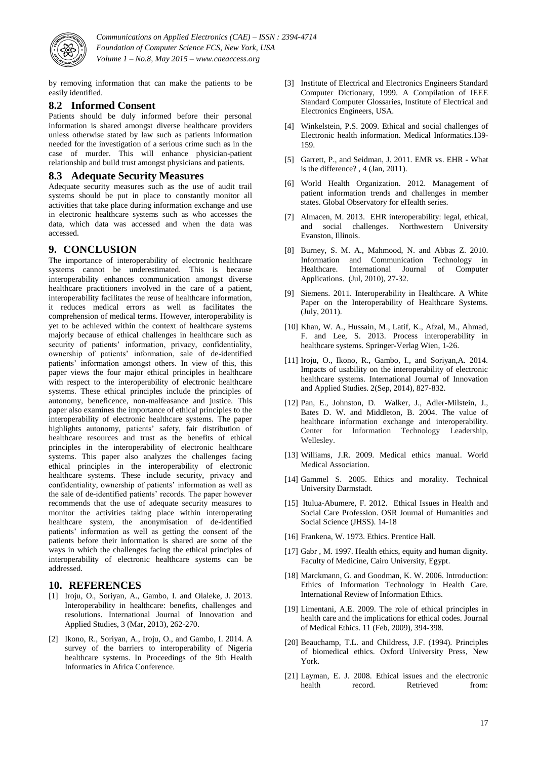

by removing information that can make the patients to be easily identified.

#### **8.2 Informed Consent**

Patients should be duly informed before their personal information is shared amongst diverse healthcare providers unless otherwise stated by law such as patients information needed for the investigation of a serious crime such as in the case of murder. This will enhance physician-patient relationship and build trust amongst physicians and patients.

#### **8.3 Adequate Security Measures**

Adequate security measures such as the use of audit trail systems should be put in place to constantly monitor all activities that take place during information exchange and use in electronic healthcare systems such as who accesses the data, which data was accessed and when the data was accessed.

#### **9. CONCLUSION**

The importance of interoperability of electronic healthcare systems cannot be underestimated. This is because interoperability enhances communication amongst diverse healthcare practitioners involved in the care of a patient, interoperability facilitates the reuse of healthcare information, it reduces medical errors as well as facilitates the comprehension of medical terms. However, interoperability is yet to be achieved within the context of healthcare systems majorly because of ethical challenges in healthcare such as security of patients' information, privacy, confidentiality, ownership of patients' information, sale of de-identified patients' information amongst others. In view of this, this paper views the four major ethical principles in healthcare with respect to the interoperability of electronic healthcare systems. These ethical principles include the principles of autonomy, beneficence, non-malfeasance and justice. This paper also examines the importance of ethical principles to the interoperability of electronic healthcare systems. The paper highlights autonomy, patients' safety, fair distribution of healthcare resources and trust as the benefits of ethical principles in the interoperability of electronic healthcare systems. This paper also analyzes the challenges facing ethical principles in the interoperability of electronic healthcare systems. These include security, privacy and confidentiality, ownership of patients' information as well as the sale of de-identified patients' records. The paper however recommends that the use of adequate security measures to monitor the activities taking place within interoperating healthcare system, the anonymisation of de-identified patients' information as well as getting the consent of the patients before their information is shared are some of the ways in which the challenges facing the ethical principles of interoperability of electronic healthcare systems can be addressed.

#### **10. REFERENCES**

- [1] Iroju, O., Soriyan, A., Gambo, I. and Olaleke, J. 2013. Interoperability in healthcare: benefits, challenges and resolutions. International Journal of Innovation and Applied Studies, 3 (Mar, 2013), 262-270.
- [2] Ikono, R., Soriyan, A., Iroju, O., and Gambo, I. 2014. A survey of the barriers to interoperability of Nigeria healthcare systems. In Proceedings of the 9th Health Informatics in Africa Conference.
- [3] Institute of Electrical and Electronics Engineers Standard Computer Dictionary, 1999. A Compilation of IEEE Standard Computer Glossaries, Institute of Electrical and Electronics Engineers, USA.
- [4] Winkelstein, P.S. 2009. Ethical and social challenges of Electronic health information. Medical Informatics.139- 159.
- [5] Garrett, P., and Seidman, J. 2011. EMR vs. EHR What is the difference? , 4 (Jan, 2011).
- [6] World Health Organization. 2012. Management of patient information trends and challenges in member states. Global Observatory for eHealth series.
- [7] Almacen, M. 2013. EHR interoperability: legal, ethical, and social challenges. Northwestern University Evanston, Illinois.
- [8] Burney, S. M. A., Mahmood, N. and Abbas Z. 2010. Information and Communication Technology in Healthcare. International Journal of Computer Applications. (Jul, 2010), 27-32.
- [9] Siemens. 2011. Interoperability in Healthcare. A White Paper on the Interoperability of Healthcare Systems. (July, 2011).
- [10] Khan, W. A., Hussain, M., Latif, K., Afzal, M., Ahmad, F. and Lee, S. 2013. Process interoperability in healthcare systems. Springer-Verlag Wien, 1-26.
- [11] Iroju, O., Ikono, R., Gambo, I., and Soriyan, A. 2014. Impacts of usability on the interoperability of electronic healthcare systems. International Journal of Innovation and Applied Studies. 2(Sep, 2014), 827-832.
- [12] Pan, E., Johnston, D. Walker, J., Adler-Milstein, J., Bates D. W. and Middleton, B. 2004. The value of healthcare information exchange and interoperability. Center for Information Technology Leadership, Wellesley.
- [13] Williams, J.R. 2009. Medical ethics manual. World Medical Association.
- [14] Gammel S. 2005. Ethics and morality. Technical University Darmstadt.
- [15] Itulua-Abumere, F. 2012. Ethical Issues in Health and Social Care Profession. OSR Journal of Humanities and Social Science (JHSS). 14-18
- [16] Frankena, W. 1973. Ethics. Prentice Hall.
- [17] Gabr , M. 1997. Health ethics, equity and human dignity. Faculty of Medicine, Cairo University, Egypt.
- [18] Marckmann, G. and Goodman, K. W. 2006. Introduction: Ethics of Information Technology in Health Care. International Review of Information Ethics.
- [19] Limentani, A.E. 2009. The role of ethical principles in health care and the implications for ethical codes. Journal of Medical Ethics. 11 (Feb, 2009), 394-398.
- [20] Beauchamp, T.L. and Childress, J.F. (1994). Principles of biomedical ethics. Oxford University Press, New York.
- [21] Layman, E. J. 2008. Ethical issues and the electronic health record. Retrieved from: